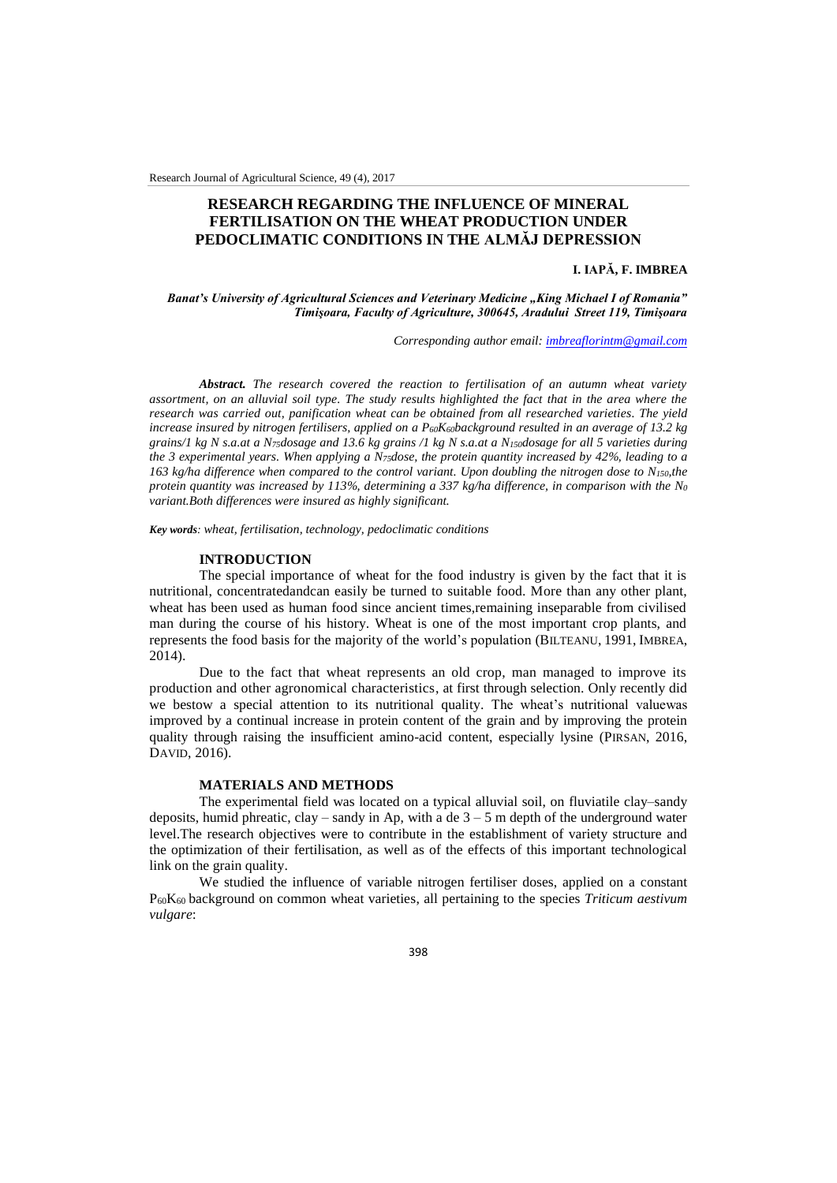Research Journal of Agricultural Science, 49 (4), 2017

# **RESEARCH REGARDING THE INFLUENCE OF MINERAL FERTILISATION ON THE WHEAT PRODUCTION UNDER PEDOCLIMATIC CONDITIONS IN THE ALMĂJ DEPRESSION**

## **I. IAPĂ, F. IMBREA**

*Banat's University of Agricultural Sciences and Veterinary Medicine "King Michael I of Romania" Timişoara, Faculty of Agriculture, 300645, Aradului Street 119, Timişoara*

*Corresponding author email[: imbreaflorintm@gmail.com](mailto:botosl@yahoo.com)*

*Abstract. The research covered the reaction to fertilisation of an autumn wheat variety assortment, on an alluvial soil type. The study results highlighted the fact that in the area where the research was carried out, panification wheat can be obtained from all researched varieties. The yield increase insured by nitrogen fertilisers, applied on a P60K60background resulted in an average of 13.2 kg grains/1 kg N s.a.at a N75dosage and 13.6 kg grains /1 kg N s.a.at a N150dosage for all 5 varieties during the 3 experimental years. When applying a N75dose, the protein quantity increased by 42%, leading to a 163 kg/ha difference when compared to the control variant. Upon doubling the nitrogen dose to N150,the protein quantity was increased by 113%, determining a 337 kg/ha difference, in comparison with the N<sup>0</sup> variant.Both differences were insured as highly significant.* 

*Key words: wheat, fertilisation, technology, pedoclimatic conditions*

#### **INTRODUCTION**

The special importance of wheat for the food industry is given by the fact that it is nutritional, concentratedandcan easily be turned to suitable food. More than any other plant, wheat has been used as human food since ancient times,remaining inseparable from civilised man during the course of his history. Wheat is one of the most important crop plants, and represents the food basis for the majority of the world's population (BILTEANU, 1991, IMBREA,  $2014$ ).

Due to the fact that wheat represents an old crop, man managed to improve its production and other agronomical characteristics, at first through selection. Only recently did we bestow a special attention to its nutritional quality. The wheat's nutritional valuewas improved by a continual increase in protein content of the grain and by improving the protein quality through raising the insufficient amino-acid content, especially lysine (PIRSAN, 2016, DAVID, 2016).

### **MATERIALS AND METHODS**

The experimental field was located on a typical alluvial soil, on fluviatile clay–sandy deposits, humid phreatic, clay – sandy in Ap, with a de  $3 - 5$  m depth of the underground water level.The research objectives were to contribute in the establishment of variety structure and the optimization of their fertilisation, as well as of the effects of this important technological link on the grain quality.

We studied the influence of variable nitrogen fertiliser doses, applied on a constant P60K<sup>60</sup> background on common wheat varieties, all pertaining to the species *Triticum aestivum vulgare*:

398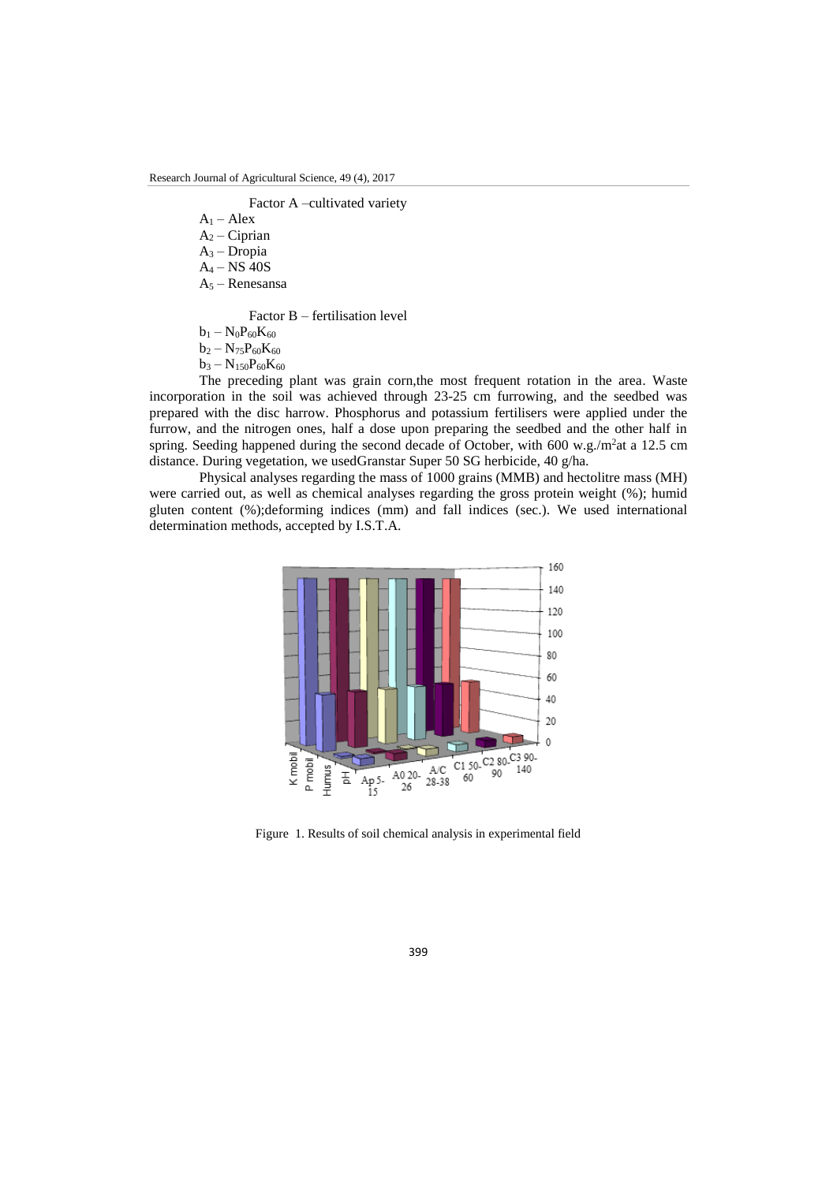Factor A –cultivated variety

 $A_1 - Alex$  $A_2$  – Ciprian

- $A_3$  Dropia
- A<sup>4</sup> NS 40S
- A<sup>5</sup> Renesansa

Factor B – fertilisation level

- $b_1 N_0P_{60}K_{60}$
- $b_2 N_{75}P_{60}K_{60}$
- $b_3 N_{150}P_{60}K_{60}$

The preceding plant was grain corn,the most frequent rotation in the area. Waste incorporation in the soil was achieved through 23-25 cm furrowing, and the seedbed was prepared with the disc harrow. Phosphorus and potassium fertilisers were applied under the furrow, and the nitrogen ones, half a dose upon preparing the seedbed and the other half in spring. Seeding happened during the second decade of October, with  $600 \text{ w.g.}/\text{m}^2$ at a 12.5 cm distance. During vegetation, we usedGranstar Super 50 SG herbicide, 40 g/ha.

Physical analyses regarding the mass of 1000 grains (MMB) and hectolitre mass (MH) were carried out, as well as chemical analyses regarding the gross protein weight (%); humid gluten content (%);deforming indices (mm) and fall indices (sec.). We used international determination methods, accepted by I.S.T.A.



Figure 1. Results of soil chemical analysis in experimental field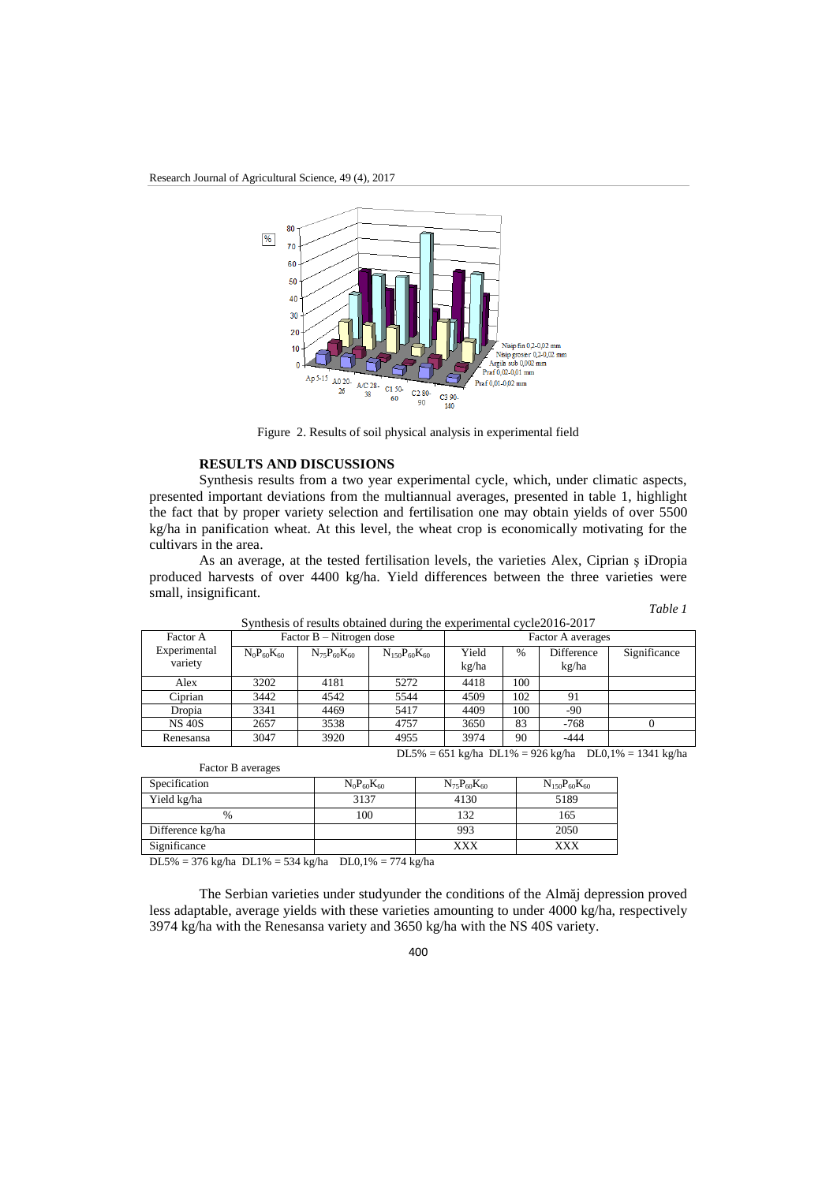

Figure 2. Results of soil physical analysis in experimental field

### **RESULTS AND DISCUSSIONS**

Synthesis results from a two year experimental cycle, which, under climatic aspects, presented important deviations from the multiannual averages, presented in table 1, highlight the fact that by proper variety selection and fertilisation one may obtain yields of over 5500 kg/ha in panification wheat. At this level, the wheat crop is economically motivating for the cultivars in the area.

As an average, at the tested fertilisation levels, the varieties Alex, Ciprian ş iDropia produced harvests of over 4400 kg/ha. Yield differences between the three varieties were small, insignificant.

*Table 1*

| Factor A      |                   | Factor $B - N$ itrogen dose |                       | Factor A averages |      |            |              |  |  |
|---------------|-------------------|-----------------------------|-----------------------|-------------------|------|------------|--------------|--|--|
| Experimental  | $N_0P_{60}K_{60}$ | $N_{75}P_{60}K_{60}$        | $N_{150}P_{60}K_{60}$ | Yield             | $\%$ | Difference | Significance |  |  |
| variety       |                   |                             |                       | kg/ha             |      | kg/ha      |              |  |  |
| Alex          | 3202              | 4181                        | 5272                  | 4418              | 100  |            |              |  |  |
| Ciprian       | 3442              | 4542                        | 5544                  | 4509              | 102  | 91         |              |  |  |
| Dropia        | 3341              | 4469                        | 5417                  | 4409              | 100  | $-90$      |              |  |  |
| <b>NS 40S</b> | 2657              | 3538                        | 4757                  | 3650              | 83   | $-768$     |              |  |  |
| Renesansa     | 3047              | 3920                        | 4955                  | 3974              | 90   | $-444$     |              |  |  |

Synthesis of results obtained during the experimental cycle2016-2017

DL5% = 651 kg/ha DL1% = 926 kg/ha DL0,1% = 1341 kg/ha

| $1.00012$ $M1$   |                   |                      |                       |
|------------------|-------------------|----------------------|-----------------------|
| Specification    | $N_0P_{60}K_{60}$ | $N_{75}P_{60}K_{60}$ | $N_{150}P_{60}K_{60}$ |
| Yield kg/ha      | 3137              | 4130                 | 5189                  |
| $\frac{0}{0}$    | 100               | 132                  | 165                   |
| Difference kg/ha |                   | 993                  | 2050                  |
| Significance     |                   | XXX                  | XXX                   |
|                  |                   |                      |                       |

DL5% = 376 kg/ha DL1% = 534 kg/ha DL0,1% = 774 kg/ha

Factor B averages

The Serbian varieties under studyunder the conditions of the Almăj depression proved less adaptable, average yields with these varieties amounting to under 4000 kg/ha, respectively 3974 kg/ha with the Renesansa variety and 3650 kg/ha with the NS 40S variety.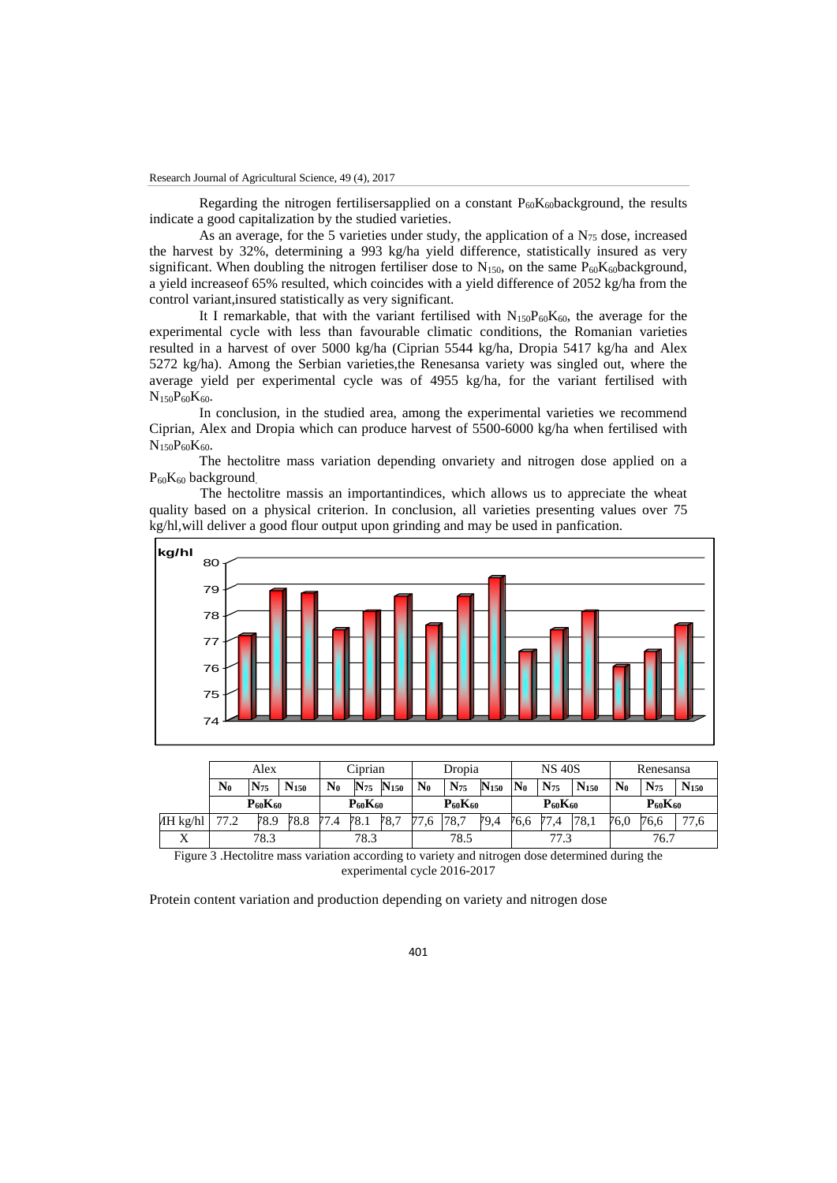Regarding the nitrogen fertilisersapplied on a constant  $P_{60}K_{60}$ background, the results indicate a good capitalization by the studied varieties.

As an average, for the 5 varieties under study, the application of a  $N_{75}$  dose, increased the harvest by 32%, determining a 993 kg/ha yield difference, statistically insured as very significant. When doubling the nitrogen fertiliser dose to  $N_{150}$ , on the same  $P_{60}K_{60}$ background, a yield increaseof 65% resulted, which coincides with a yield difference of 2052 kg/ha from the control variant,insured statistically as very significant.

It I remarkable, that with the variant fertilised with  $N_{150}P_{60}K_{60}$ , the average for the experimental cycle with less than favourable climatic conditions, the Romanian varieties resulted in a harvest of over 5000 kg/ha (Ciprian 5544 kg/ha, Dropia 5417 kg/ha and Alex 5272 kg/ha). Among the Serbian varieties,the Renesansa variety was singled out, where the average yield per experimental cycle was of 4955 kg/ha, for the variant fertilised with  $N_{150}P_{60}K_{60}$ .

In conclusion, in the studied area, among the experimental varieties we recommend Ciprian, Alex and Dropia which can produce harvest of 5500-6000 kg/ha when fertilised with  $N_{150}P_{60}K_{60}$ .

The hectolitre mass variation depending onvariety and nitrogen dose applied on a P<sub>60</sub>K<sub>60</sub> background.

The hectolitre massis an importantindices, which allows us to appreciate the wheat quality based on a physical criterion. In conclusion, all varieties presenting values over 75 kg/hl,will deliver a good flour output upon grinding and may be used in panfication.



|                              | Alex           |          |                  |                | Ciprian  |           |                | Dropia          |                         |                | <b>NS 40S</b>   |           | Renesansa      |                 |                         |
|------------------------------|----------------|----------|------------------|----------------|----------|-----------|----------------|-----------------|-------------------------|----------------|-----------------|-----------|----------------|-----------------|-------------------------|
|                              | $\mathbf{N}_0$ | $N_{75}$ | N <sub>150</sub> | $\mathbf{N}_0$ | $N_{75}$ | $N_{150}$ | $\mathbf{N}_0$ | N <sub>75</sub> | <b>N</b> <sub>150</sub> | $\mathbf{N}_0$ | N <sub>75</sub> | $N_{150}$ | $\mathbf{N}_0$ | N <sub>75</sub> | <b>N</b> <sub>150</sub> |
|                              | $P_{60}K_{60}$ |          |                  | $P_{60}K_{60}$ |          |           | $P_{60}K_{60}$ |                 | $P_{60}K_{60}$          |                | $P_{60}K_{60}$  |           |                |                 |                         |
| $\Delta H$ kg/hl             | 77.2           | 78.9     | 78.8             | 77.4           | 78.1     | 78.7      | 77,6           | 78.7            | 79,4                    | 76.6           |                 | 78.1      | 76,0           | 76.6            |                         |
| $\overline{\mathbf{x}}$<br>∡ | 78.3           |          |                  |                | 78.3     |           | 78.5           |                 | 77.3                    |                |                 | 76.7      |                |                 |                         |

Figure 3 .Hectolitre mass variation according to variety and nitrogen dose determined during the experimental cycle 2016-2017

Protein content variation and production depending on variety and nitrogen dose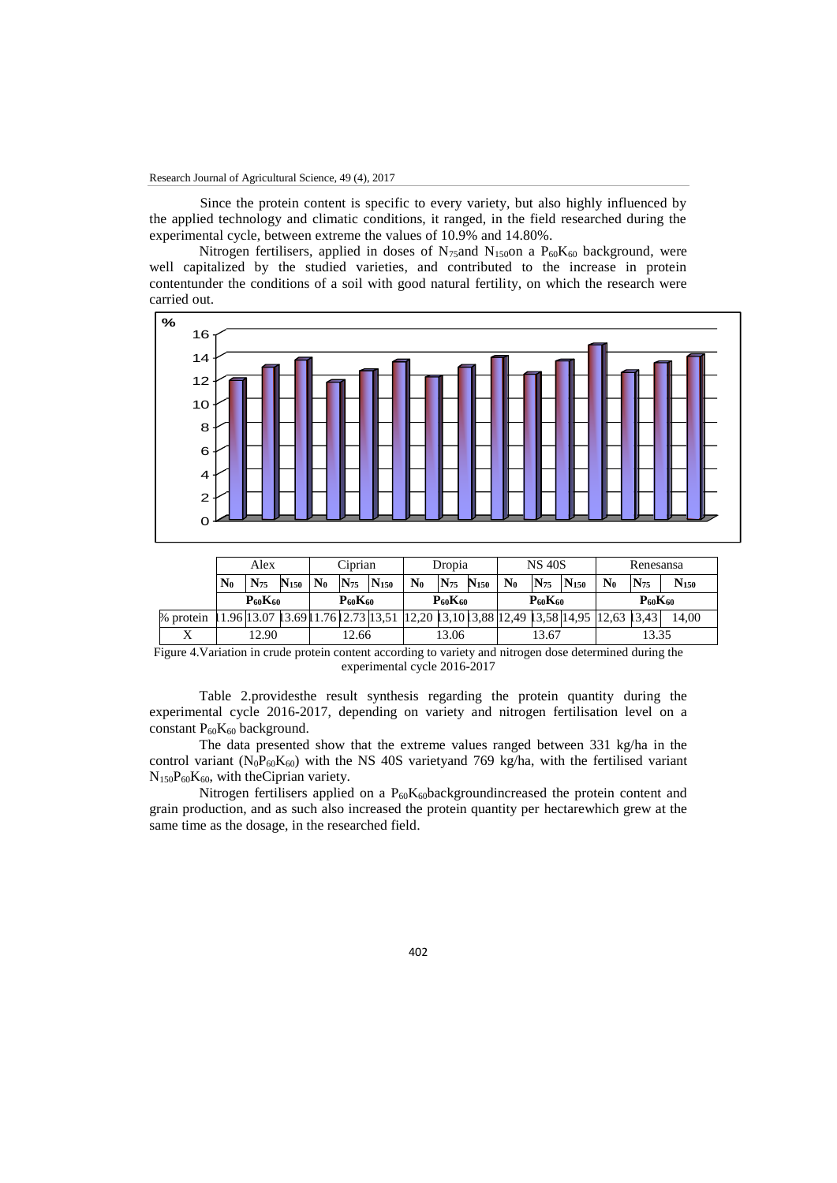Since the protein content is specific to every variety, but also highly influenced by the applied technology and climatic conditions, it ranged, in the field researched during the experimental cycle, between extreme the values of 10.9% and 14.80%.

Nitrogen fertilisers, applied in doses of N<sub>75</sub>and N<sub>150</sub>on a  $P_{60}K_{60}$  background, were well capitalized by the studied varieties, and contributed to the increase in protein contentunder the conditions of a soil with good natural fertility, on which the research were carried out.



|                     | $\lambda$      |           | <u>Cipitum</u> |                |                |                | DIVDIA         |          | ∪ט⊤ שונ            |                |          | wandound                                                  |       |          |           |
|---------------------|----------------|-----------|----------------|----------------|----------------|----------------|----------------|----------|--------------------|----------------|----------|-----------------------------------------------------------|-------|----------|-----------|
|                     | $\mathbf{N}_0$ | $N_{75}$  | N150           | $\mathbf{N}_0$ | $N_{75}$       | $N_{150}$      | $\mathbf{N}_0$ | $N_{75}$ | $\mathbf{N}_{150}$ | $\mathbf{N}_0$ | $N_{75}$ | $N_{150}$                                                 | $N_0$ | $N_{75}$ | $N_{150}$ |
|                     | $P_{60}K_{60}$ |           |                |                | $P_{60}K_{60}$ |                | $P_{60}K_{60}$ |          |                    | $P_{60}K_{60}$ |          | $P_{60}K_{60}$                                            |       |          |           |
| % protein           |                | .96 13.07 | 13.691         |                |                | .7612.73 13.51 |                |          |                    |                |          | 12,20   3,10   3,88   12,49   3,58   14,95   12,63   3,43 |       |          | 14.00     |
| $\overline{ }$<br>△ |                | 12.90     |                | 2.66           |                |                | 13.06          |          | 13.67              |                |          | 13.35                                                     |       |          |           |

Figure 4.Variation in crude protein content according to variety and nitrogen dose determined during the experimental cycle 2016-2017

Table 2.providesthe result synthesis regarding the protein quantity during the experimental cycle 2016-2017, depending on variety and nitrogen fertilisation level on a constant  $P_{60}K_{60}$  background.

The data presented show that the extreme values ranged between 331 kg/ha in the control variant ( $N_0P_{60}K_{60}$ ) with the NS 40S varietyand 769 kg/ha, with the fertilised variant  $N_{150}P_{60}K_{60}$ , with the Ciprian variety.

Nitrogen fertilisers applied on a  $P_{60}K_{60}$ backgroundincreased the protein content and grain production, and as such also increased the protein quantity per hectarewhich grew at the same time as the dosage, in the researched field.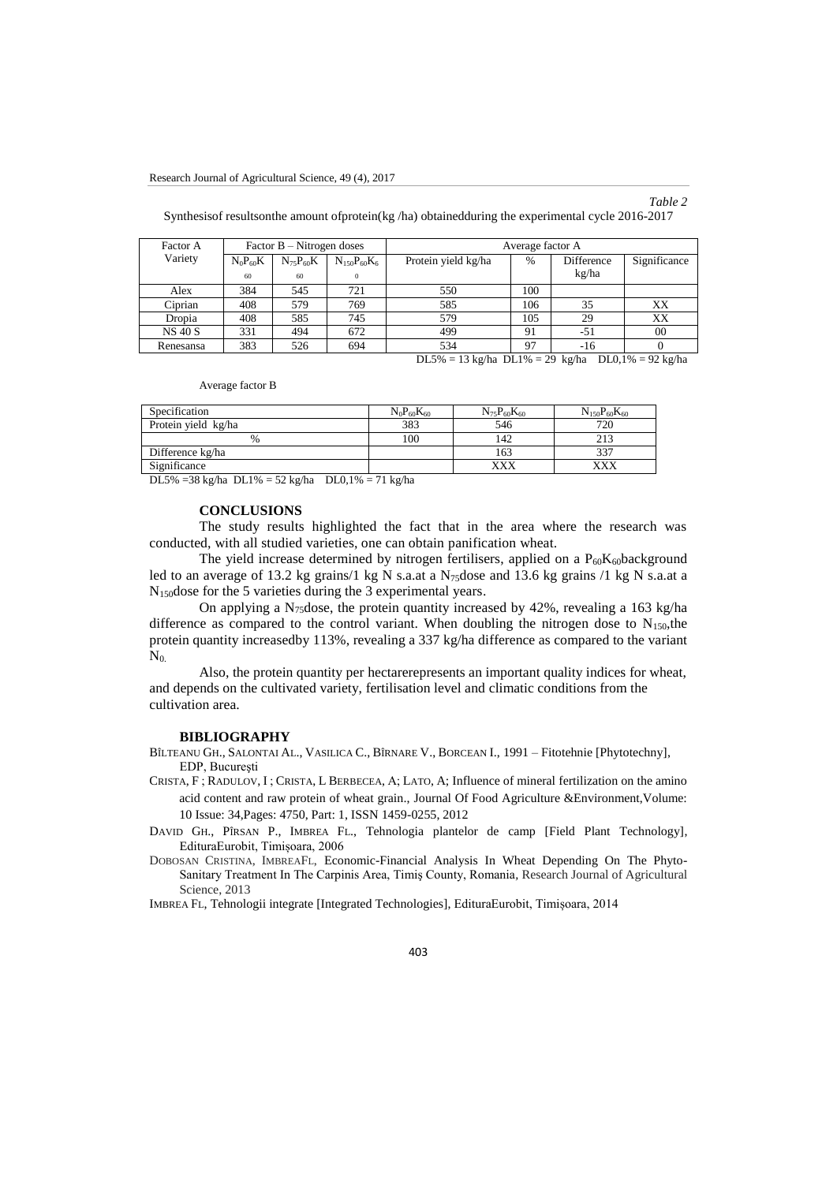### *Table 2*

Synthesisof resultsonthe amount ofprotein(kg /ha) obtainedduring the experimental cycle 2016-2017

| Factor A       |              | Factor $B - N$ itrogen doses |                    | Average factor A    |      |            |              |  |  |  |
|----------------|--------------|------------------------------|--------------------|---------------------|------|------------|--------------|--|--|--|
| Variety        | $N_0P_{60}K$ | $N_{75}P_{60}K$              | $N_{150}P_{60}K_6$ | Protein yield kg/ha | $\%$ | Difference | Significance |  |  |  |
|                | 60           | 60                           | $\Omega$           |                     |      | kg/ha      |              |  |  |  |
| Alex           | 384          | 545                          | 721                | 550                 | 100  |            |              |  |  |  |
| Ciprian        | 408          | 579                          | 769                | 585                 | 106  | 35         | XX           |  |  |  |
| Dropia         | 408          | 585                          | 745                | 579                 | 105  | 29         | XX           |  |  |  |
| <b>NS 40 S</b> | 331          | 494                          | 672                | 499                 | 91   | -51        | 00           |  |  |  |
| Renesansa      | 383          | 526                          | 694                | 534                 | 97   | -16        |              |  |  |  |

DL5% = 13 kg/ha DL1% = 29 kg/ha DL0,1% = 92 kg/ha

Average factor B

| Specification       | $N_0P_{60}K_{60}$ | $N_{75}P_{60}K_{60}$ | $N_{150}P_{60}K_{60}$ |
|---------------------|-------------------|----------------------|-----------------------|
| Protein yield kg/ha | 383               | 546                  | 720                   |
| %                   | 100               | 142                  |                       |
| Difference kg/ha    |                   | 163                  |                       |
| Significance        |                   | XXX                  | <b>YYV</b>            |

DL5% =38 kg/ha DL1% = 52 kg/ha DL0,1% = 71 kg/ha

#### **CONCLUSIONS**

The study results highlighted the fact that in the area where the research was conducted, with all studied varieties, one can obtain panification wheat.

The yield increase determined by nitrogen fertilisers, applied on a  $P_{60}K_{60}$ background led to an average of 13.2 kg grains/1 kg N s.a.at a N $_{75}$ dose and 13.6 kg grains /1 kg N s.a.at a N150dose for the 5 varieties during the 3 experimental years.

On applying a N<sub>75</sub>dose, the protein quantity increased by 42%, revealing a 163 kg/ha difference as compared to the control variant. When doubling the nitrogen dose to  $N_{150}$ , the protein quantity increasedby 113%, revealing a 337 kg/ha difference as compared to the variant  $N_0$ .

Also, the protein quantity per hectarerepresents an important quality indices for wheat, and depends on the cultivated variety, fertilisation level and climatic conditions from the cultivation area.

#### **BIBLIOGRAPHY**

BÎLTEANU GH., SALONTAI AL., VASILICA C., BÎRNARE V., BORCEAN I., 1991 – Fitotehnie [Phytotechny], EDP, Bucureşti

CRISTA, F ; RADULOV, I ; CRISTA, L BERBECEA, A; LATO, A; Influence of mineral fertilization on the amino acid content and raw protein of wheat grain., Journal Of Food Agriculture &Environment,Volume: 10 Issue: 34,Pages: 4750, Part: 1, ISSN 1459-0255, 2012

DAVID GH., PÎRSAN P., IMBREA FL., Tehnologia plantelor de camp [Field Plant Technology], EdituraEurobit, Timișoara, 2006

DOBOSAN CRISTINA, IMBREAFL, [Economic-Financial Analysis In Wheat Depending On The Phyto-](http://www.rjas.ro/download/paper_version.paper_file.8c17a075c4a74bf1.446f626f73616e5f4372697374696e612e706466.pdf)[Sanitary Treatment In The Carpinis Area, Timiş County, Romania](http://www.rjas.ro/download/paper_version.paper_file.8c17a075c4a74bf1.446f626f73616e5f4372697374696e612e706466.pdf)*,* Research Journal of Agricultural Science, 2013

IMBREA FL, Tehnologii integrate [Integrated Technologies], EdituraEurobit, Timișoara, 2014